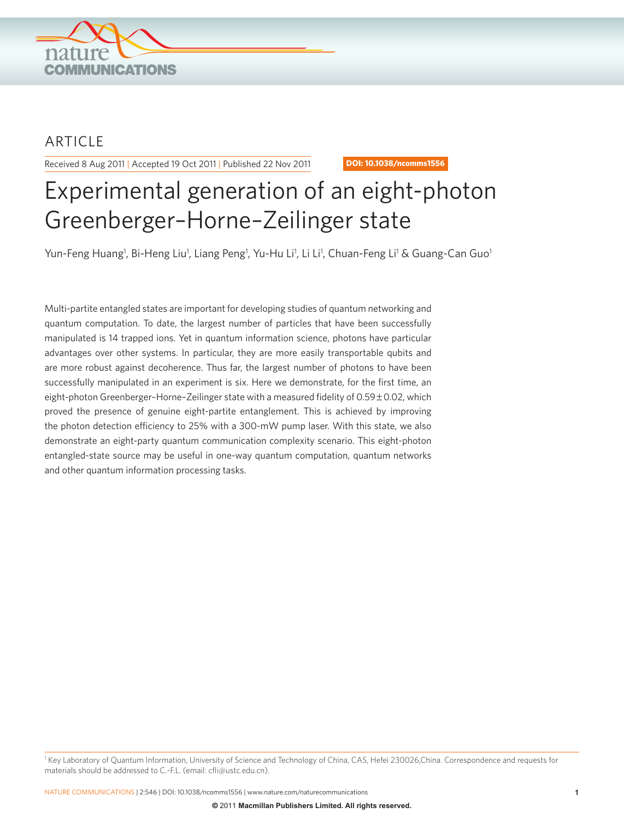

# ARTICLE

Received 8 Aug 2011 | Accepted 19 Oct 2011 | Published 22 Nov 2011 **DOI: 10.1038/ncomms1556** 

# Experimental generation of an eight-photon Greenberger–Horne–Zeilinger state

Yun-Feng Huang<sup>1</sup>, Bi-Heng Liu<sup>1</sup>, Liang Peng<sup>1</sup>, Yu-Hu Li<sup>1</sup>, Li Li<sup>1</sup>, Chuan-Feng Li<sup>1</sup> & Guang-Can Guo<sup>1</sup>

Multi-partite entangled states are important for developing studies of quantum networking and quantum computation. To date, the largest number of particles that have been successfully manipulated is 14 trapped ions. Yet in quantum information science, photons have particular advantages over other systems. In particular, they are more easily transportable qubits and are more robust against decoherence. Thus far, the largest number of photons to have been successfully manipulated in an experiment is six. Here we demonstrate, for the first time, an eight-photon Greenberger–Horne–Zeilinger state with a measured fidelity of 0.59±0.02, which proved the presence of genuine eight-partite entanglement. This is achieved by improving the photon detection efficiency to 25% with a 300-mW pump laser. With this state, we also demonstrate an eight-party quantum communication complexity scenario. This eight-photon entangled-state source may be useful in one-way quantum computation, quantum networks and other quantum information processing tasks.

<sup>1</sup> Key Laboratory of Quantum Information, University of Science and Technology of China, CAS, Hefei 230026,China. Correspondence and requests for materials should be addressed to C.-F.L. (email: cfli@ustc.edu.cn).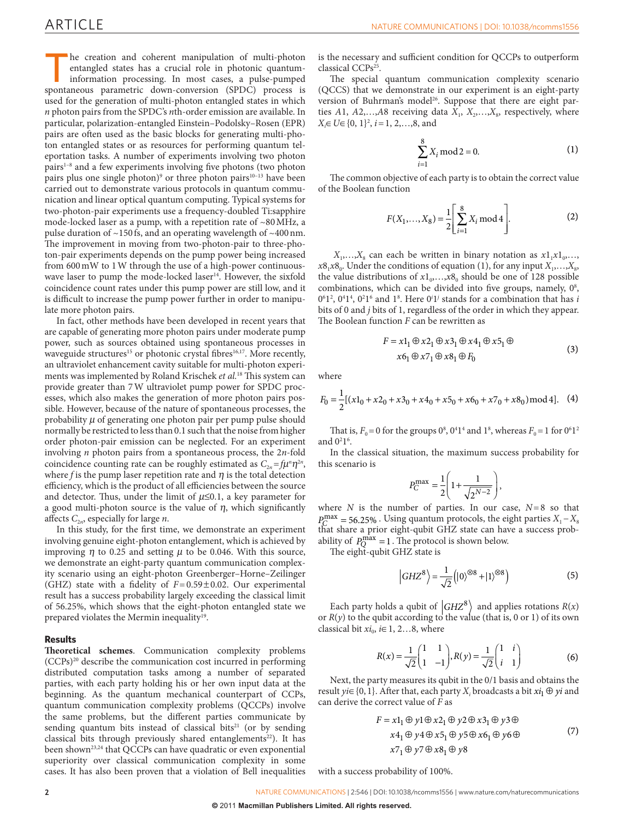The creation and coherent manipulation of multi-photon entangled states has a crucial role in photonic quantuminformation processing. In most cases, a pulse-pumped spontaneous parametric down-conversion (SPDC) process is used for the generation of multi-photon entangled states in which *n* photon pairs from the SPDC's *n*th-order emission are available. In particular, polarization-entangled Einstein–Podolsky–Rosen (EPR) pairs are often used as the basic blocks for generating multi-photon entangled states or as resources for performing quantum teleportation tasks. A number of experiments involving two photon pairs<sup>1-8</sup> and a few experiments involving five photons (two photon pairs plus one single photon)<sup>9</sup> or three photon pairs<sup>10-13</sup> have been carried out to demonstrate various protocols in quantum communication and linear optical quantum computing. Typical systems for two-photon-pair experiments use a frequency-doubled Ti:sapphire mode-locked laser as a pump, with a repetition rate of ~80MHz, a pulse duration of  $\sim$ 150 fs, and an operating wavelength of  $\sim$ 400 nm. The improvement in moving from two-photon-pair to three-photon-pair experiments depends on the pump power being increased from 600mW to 1W through the use of a high-power continuous-wave laser to pump the mode-locked laser<sup>[14](#page-4-3)</sup>. However, the sixfold coincidence count rates under this pump power are still low, and it is difficult to increase the pump power further in order to manipulate more photon pairs.

In fact, other methods have been developed in recent years that are capable of generating more photon pairs under moderate pump power, such as sources obtained using spontaneous processes in waveguide structures<sup>15</sup> or photonic crystal fibres<sup>16,17</sup>. More recently, an ultraviolet enhancement cavity suitable for multi-photon experiments was implemented by Roland Krischek *et al.*[18](#page-4-6) This system can provide greater than 7W ultraviolet pump power for SPDC processes, which also makes the generation of more photon pairs possible. However, because of the nature of spontaneous processes, the probability  $\mu$  of generating one photon pair per pump pulse should normally be restricted to less than 0.1 such that the noise from higher order photon-pair emission can be neglected. For an experiment involving *n* photon pairs from a spontaneous process, the 2*n*-fold coincidence counting rate can be roughly estimated as  $C_{2n} = f\mu^n \eta^{2n}$ , where *f* is the pump laser repetition rate and  $\eta$  is the total detection efficiency, which is the product of all efficiencies between the source and detector. Thus, under the limit of  $\mu \leq 0.1$ , a key parameter for a good multi-photon source is the value of  $\eta$ , which significantly affects  $C_{2n}$ , especially for large *n*.

In this study, for the first time, we demonstrate an experiment involving genuine eight-photon entanglement, which is achieved by improving  $\eta$  to 0.25 and setting  $\mu$  to be 0.046. With this source, we demonstrate an eight-party quantum communication complexity scenario using an eight-photon Greenberger–Horne–Zeilinger (GHZ) state with a fidelity of *F*=0.59±0.02. Our experimental result has a success probability largely exceeding the classical limit of 56.25%, which shows that the eight-photon entangled state we prepared violates the Mermin inequality<sup>[19](#page-4-7)</sup>.

### **Results**

**Theoretical schemes**. Communication complexity problems (CCPs)[20](#page-4-8) describe the communication cost incurred in performing distributed computation tasks among a number of separated parties, with each party holding his or her own input data at the beginning. As the quantum mechanical counterpart of CCPs, quantum communication complexity problems (QCCPs) involve the same problems, but the different parties communicate by sending quantum bits instead of classical bits $21$  (or by sending classical bits through previously shared entanglements<sup>22</sup>). It has been shown<sup>[23,24](#page-4-11)</sup> that QCCPs can have quadratic or even exponential superiority over classical communication complexity in some cases. It has also been proven that a violation of Bell inequalities is the necessary and sufficient condition for QCCPs to outperform classical CCPs[25](#page-4-12) .

The special quantum communication complexity scenario (QCCS) that we demonstrate in our experiment is an eight-party version of Buhrman's model<sup>[26](#page-4-13)</sup>. Suppose that there are eight parties  $A1, A2,...,A8$  receiving data  $X_1, X_2,...,X_s$ , respectively, where *X*<sub>i</sub>∈ *U*∈ {0, 1}<sup>2</sup>, *i* = 1, 2,...,8, and

$$
\sum_{i=1}^{8} X_i \mod 2 = 0. \tag{1}
$$

The common objective of each party is to obtain the correct value of the Boolean function

$$
F(X_1, ..., X_8) = \frac{1}{2} \left[ \sum_{i=1}^{8} X_i \mod 4 \right].
$$
 (2)

 $X_1, \ldots, X_8$  can each be written in binary notation as  $x1_1x1_0, \ldots$ ,  $x8_1x8_0$ . Under the conditions of equation (1), for any input  $X_1, \ldots, X_8$ , the value distributions of  $x1_0$ , ...,  $x8_0$  should be one of 128 possible combinations, which can be divided into five groups, namely,  $0^8$ ,  $0<sup>6</sup>1<sup>2</sup>$ ,  $0<sup>4</sup>1<sup>4</sup>$ ,  $0<sup>2</sup>1<sup>6</sup>$  and  $1<sup>8</sup>$ . Here  $0<sup>i</sup>1<sup>j</sup>$  stands for a combination that has *i* bits of 0 and *j* bits of 1, regardless of the order in which they appear. The Boolean function *F* can be rewritten as

$$
F = x1_1 \oplus x2_1 \oplus x3_1 \oplus x4_1 \oplus x5_1 \oplus
$$
  
\n
$$
x6_1 \oplus x7_1 \oplus x8_1 \oplus F_0
$$
\n(3)

where

$$
F_0 = \frac{1}{2} [(x1_0 + x2_0 + x3_0 + x4_0 + x5_0 + x6_0 + x7_0 + x8_0) \text{mod } 4].
$$
 (4)

That is,  $F_0 = 0$  for the groups  $0^8$ ,  $0^41^4$  and  $1^8$ , whereas  $F_0 = 1$  for  $0^61^2$ and  $0<sup>2</sup>1<sup>6</sup>$ .

In the classical situation, the maximum success probability for this scenario is

$$
P_C^{\max} = \frac{1}{2} \left( 1 + \frac{1}{\sqrt{2^{N-2}}} \right),
$$

where *N* is the number of parties. In our case, *N*=8 so that  $P_C^{\text{max}} = 56.25\%$ . Using quantum protocols, the eight parties  $X_1 - X_8$ that share a prior eight-qubit GHZ state can have a success probability of  $P_Q^{\text{max}} = 1$ . The protocol is shown below.

The eight-qubit GHZ state is

$$
\left|GHZ^8\right> = \frac{1}{\sqrt{2}}\left(|0\rangle^{\otimes 8} + |1\rangle^{\otimes 8}\right) \tag{5}
$$

Each party holds a qubit of  $|GHZ^8\rangle$  and applies rotations  $R(x)$ or  $R(y)$  to the qubit according to the value (that is, 0 or 1) of its own classical bit  $xi_0$ ,  $i \in 1, 2...8$ , where

$$
R(x) = \frac{1}{\sqrt{2}} \begin{pmatrix} 1 & 1 \\ 1 & -1 \end{pmatrix}, R(y) = \frac{1}{\sqrt{2}} \begin{pmatrix} 1 & i \\ i & 1 \end{pmatrix}
$$
 (6)

Next, the party measures its qubit in the 0/1 basis and obtains the result *yi*∈ {0, 1}. After that, each party *X<sub>i</sub>* broadcasts a bit  $xi_1 \oplus yi$  and can derive the correct value of *F* as

$$
F = x1_1 \oplus y1 \oplus x2_1 \oplus y2 \oplus x3_1 \oplus y3 \oplus
$$
  
\n
$$
x4_1 \oplus y4 \oplus x5_1 \oplus y5 \oplus x6_1 \oplus y6 \oplus
$$
  
\n
$$
x7_1 \oplus y7 \oplus x8_1 \oplus y8
$$
\n(7)

with a success probability of 100%.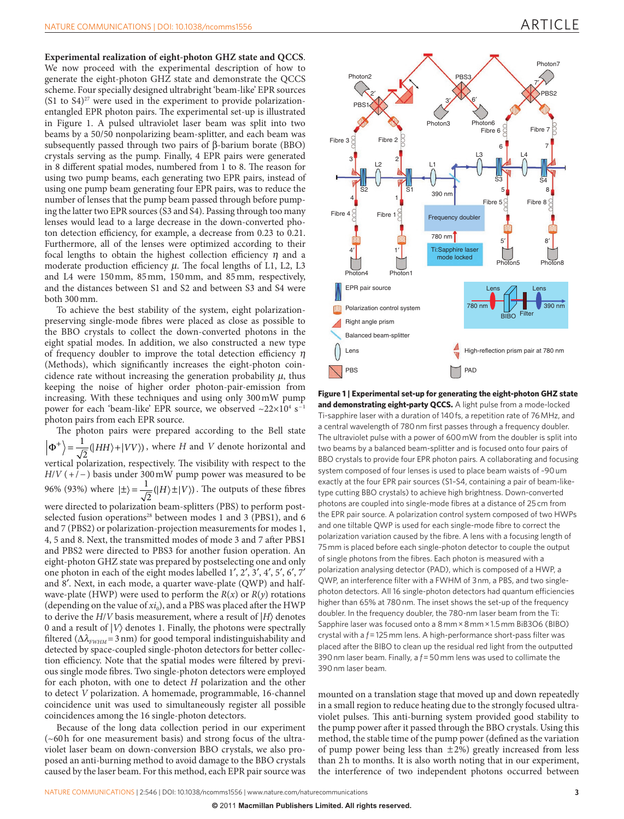**Experimental realization of eight-photon GHZ state and QCCS**. We now proceed with the experimental description of how to generate the eight-photon GHZ state and demonstrate the QCCS scheme. Four specially designed ultrabright 'beam-like' EPR sources  $(S1$  to  $S4)^{27}$  were used in the experiment to provide polarizationentangled EPR photon pairs. The experimental set-up is illustrated in [Figure 1.](#page-2-0) A pulsed ultraviolet laser beam was split into two beams by a 50/50 nonpolarizing beam-splitter, and each beam was subsequently passed through two pairs of β-barium borate (BBO) crystals serving as the pump. Finally, 4 EPR pairs were generated in 8 different spatial modes, numbered from 1 to 8. The reason for using two pump beams, each generating two EPR pairs, instead of using one pump beam generating four EPR pairs, was to reduce the number of lenses that the pump beam passed through before pumping the latter two EPR sources (S3 and S4). Passing through too many lenses would lead to a large decrease in the down-converted photon detection efficiency, for example, a decrease from 0.23 to 0.21. Furthermore, all of the lenses were optimized according to their focal lengths to obtain the highest collection efficiency  $\eta$  and a moderate production efficiency  $\mu$ . The focal lengths of L1, L2, L3 and L4 were 150mm, 85mm, 150mm, and 85mm, respectively, and the distances between S1 and S2 and between S3 and S4 were both 300mm.

To achieve the best stability of the system, eight polarizationpreserving single-mode fibres were placed as close as possible to the BBO crystals to collect the down-converted photons in the eight spatial modes. In addition, we also constructed a new type of frequency doubler to improve the total detection efficiency  $\eta$ (Methods), which significantly increases the eight-photon coincidence rate without increasing the generation probability  $\mu$ , thus keeping the noise of higher order photon-pair-emission from increasing. With these techniques and using only 300mW pump power for each 'beam-like' EPR source, we observed ~22 $\times10^4$  s $^{-1}$ photon pairs from each EPR source.

The photon pairs were prepared according to the Bell state  $\Phi^+\Big\} = \frac{1}{\sqrt{2}}(|HH\rangle +$  $\frac{1}{2}(|HH\rangle + |VV\rangle)$ , where *H* and *V* denote horizontal and vertical polarization, respectively. The visibility with respect to the  $H/V$  (+/<sup>-</sup>) basis under 300 mW pump power was measured to be 96% (93%) where  $|\pm\rangle = \frac{1}{\sqrt{2}}(|H\rangle \pm |V\rangle)$ . The outputs of these fibres were directed to polarization beam-splitters (PBS) to perform postselected fusion operations<sup>28</sup> between modes 1 and 3 (PBS1), and 6 and 7 (PBS2) or polarization-projection measurements for modes 1, 4, 5 and 8. Next, the transmitted modes of mode 3 and 7 after PBS1 and PBS2 were directed to PBS3 for another fusion operation. An eight-photon GHZ state was prepared by postselecting one and only one photon in each of the eight modes labelled 1′, 2′, 3′, 4′, 5′, 6′, 7′ and 8′. Next, in each mode, a quarter wave-plate (QWP) and halfwave-plate (HWP) were used to perform the  $R(x)$  or  $R(y)$  rotations (depending on the value of  $xi_0$ ), and a PBS was placed after the HWP to derive the  $H/V$  basis measurement, where a result of  $|H\rangle$  denotes 0 and a result of  $|V\rangle$  denotes 1. Finally, the photons were spectrally filtered ( $\Delta\lambda$ <sub>*FWHM</sub>* = 3 nm) for good temporal indistinguishability and</sub> detected by space-coupled single-photon detectors for better collection efficiency. Note that the spatial modes were filtered by previous single mode fibres. Two single-photon detectors were employed for each photon, with one to detect *H* polarization and the other to detect *V* polarization. A homemade, programmable, 16-channel coincidence unit was used to simultaneously register all possible coincidences among the 16 single-photon detectors.

Because of the long data collection period in our experiment (~60h for one measurement basis) and strong focus of the ultraviolet laser beam on down-conversion BBO crystals, we also proposed an anti-burning method to avoid damage to the BBO crystals caused by the laser beam. For this method, each EPR pair source was



<span id="page-2-0"></span>**Figure 1 | Experimental set-up for generating the eight-photon GHZ state and demonstrating eight-party QCCS.** A light pulse from a mode-locked Ti-sapphire laser with a duration of 140fs, a repetition rate of 76 MHz, and a central wavelength of 780nm first passes through a frequency doubler. The ultraviolet pulse with a power of 600mW from the doubler is split into two beams by a balanced beam-splitter and is focused onto four pairs of BBO crystals to provide four EPR photon pairs. A collaborating and focusing system composed of four lenses is used to place beam waists of ~90um exactly at the four EPR pair sources (S1–S4, containing a pair of beam-liketype cutting BBO crystals) to achieve high brightness. Down-converted photons are coupled into single-mode fibres at a distance of 25cm from the EPR pair source. A polarization control system composed of two HWPs and one tiltable QWP is used for each single-mode fibre to correct the polarization variation caused by the fibre. A lens with a focusing length of 75mm is placed before each single-photon detector to couple the output of single photons from the fibres. Each photon is measured with a polarization analysing detector (PAD), which is composed of a HWP, a QWP, an interference filter with a FWHM of 3nm, a PBS, and two singlephoton detectors. All 16 single-photon detectors had quantum efficiencies higher than 65% at 780 nm. The inset shows the set-up of the frequency doubler. In the frequency doubler, the 780-nm laser beam from the Ti: Sapphire laser was focused onto a 8mm×8mm×1.5mm BiB3O6 (BIBO) crystal with a *f*=125mm lens. A high-performance short-pass filter was placed after the BIBO to clean up the residual red light from the outputted 390nm laser beam. Finally, a *f*=50mm lens was used to collimate the 390nm laser beam.

mounted on a translation stage that moved up and down repeatedly in a small region to reduce heating due to the strongly focused ultraviolet pulses. This anti-burning system provided good stability to the pump power after it passed through the BBO crystals. Using this method, the stable time of the pump power (defined as the variation of pump power being less than  $\pm 2\%$ ) greatly increased from less than 2h to months. It is also worth noting that in our experiment, the interference of two independent photons occurred between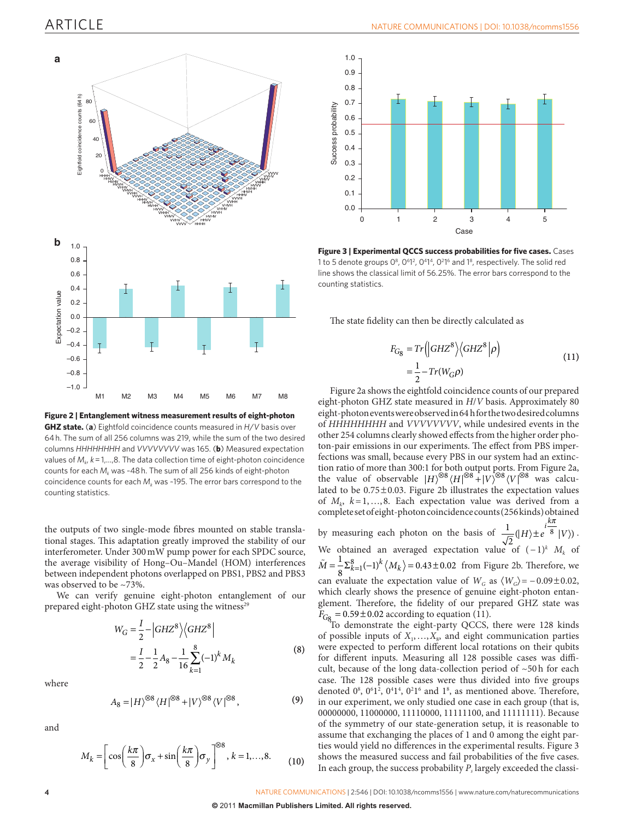

<span id="page-3-0"></span>**Figure 2 | Entanglement witness measurement results of eight-photon GHZ state.** (**a**) Eightfold coincidence counts measured in *H*/*V* basis over 64h. The sum of all 256 columns was 219, while the sum of the two desired columns *HHHHHHHH* and *VVVVVVVV* was 165. (**b**) Measured expectation values of  $M_k$ ,  $k = 1,...,8$ . The data collection time of eight-photon coincidence counts for each  $M_k$  was ~48 h. The sum of all 256 kinds of eight-photon coincidence counts for each  $M_k$  was ~195. The error bars correspond to the counting statistics.

the outputs of two single-mode fibres mounted on stable translational stages. This adaptation greatly improved the stability of our interferometer. Under 300mW pump power for each SPDC source, the average visibility of Hong–Ou–Mandel (HOM) interferences between independent photons overlapped on PBS1, PBS2 and PBS3 was observed to be ~73%.

We can verify genuine eight-photon entanglement of our prepared eight-photon GHZ state using the witness<sup>[29](#page-4-16)</sup>

$$
W_G = \frac{I}{2} - |GHZ^8\rangle \langle GHZ^8|
$$
  
=  $\frac{I}{2} - \frac{1}{2}A_8 - \frac{1}{16}\sum_{k=1}^{8} (-1)^k M_k$  (8)

where

$$
A_8 = |H\rangle^{\otimes 8} \langle H|^{\otimes 8} + |V\rangle^{\otimes 8} \langle V|^{\otimes 8},\tag{9}
$$

and

$$
M_k = \left[\cos\left(\frac{k\pi}{8}\right)\sigma_x + \sin\left(\frac{k\pi}{8}\right)\sigma_y\right]^{\otimes 8}, k = 1, \dots, 8. \tag{10}
$$



<span id="page-3-1"></span>**Figure 3 | Experimental QCCS success probabilities for five cases.** Cases 1 to 5 denote groups  $0^8$ ,  $0^6$ 1<sup>2</sup>,  $0^4$ 1<sup>4</sup>,  $0^2$ 1<sup>6</sup> and 1<sup>8</sup>, respectively. The solid red line shows the classical limit of 56.25%. The error bars correspond to the counting statistics.

The state fidelity can then be directly calculated as

$$
F_{G_8} = Tr \left( |GHZ^8\rangle \langle GHZ^8|\rho \right)
$$
  
=  $\frac{1}{2} - Tr(W_{G}\rho)$  (11)

[Figure 2a](#page-3-0) shows the eightfold coincidence counts of our prepared eight-photon GHZ state measured in *H*/*V* basis. Approximately 80 eight-photon events were observed in 64h for the two desired columns of *HHHHHHHH* and *VVVVVVVV*, while undesired events in the other 254 columns clearly showed effects from the higher order photon-pair emissions in our experiments. The effect from PBS imperfections was small, because every PBS in our system had an extinction ratio of more than 300:1 for both output ports. From [Figure 2a,](#page-3-0) the value of observable  $|H\rangle^{\otimes 8} \langle H|^{ \otimes 8} + |V\rangle^{\otimes 8} \langle V|^{ \otimes 8}$  was calculated to be 0.75±0.03. [Figure 2b](#page-3-0) illustrates the expectation values of  $M_k$ ,  $k=1,...,8$ . Each expectation value was derived from a complete set of eight-photon coincidence counts (256 kinds) obtained *p*

by measuring each photon on the basis of  $\frac{1}{4}$  $\frac{1}{2}(|H\rangle \pm e^{i\frac{k\pi}{8}}|V\rangle)$ ± . We obtained an averaged expectation value of (−1)*<sup>k</sup> Mk* of  $\tilde{M} = \frac{1}{8} \sum_{k=1}^{8} (-1)^k \langle M_k \rangle = 0.43 \pm 0.02$  from [Figure 2b](#page-3-0). Therefore, we can evaluate the expectation value of  $W_G$  as  $\langle W_G \rangle = -0.09 \pm 0.02$ , which clearly shows the presence of genuine eight-photon entanglement. Therefore, the fidelity of our prepared GHZ state was  $F_{\text{Gg}} = 0.59 \pm 0.02$  according to equation (11).<br>To demonstrate the eight-party QCCS, there were 128 kinds

of possible inputs of  $X_1, \ldots, X_s$ , and eight communication parties were expected to perform different local rotations on their qubits for different inputs. Measuring all 128 possible cases was difficult, because of the long data-collection period of ~50h for each case. The 128 possible cases were thus divided into five groups denoted  $0^8$ ,  $0^61^2$ ,  $0^41^4$ ,  $0^21^6$  and  $1^8$ , as mentioned above. Therefore, in our experiment, we only studied one case in each group (that is, 00000000, 11000000, 11110000, 11111100, and 11111111). Because of the symmetry of our state-generation setup, it is reasonable to assume that exchanging the places of 1 and 0 among the eight parties would yield no differences in the experimental results. [Figure 3](#page-3-1) shows the measured success and fail probabilities of the five cases. In each group, the success probability  $P_s$  largely exceeded the classi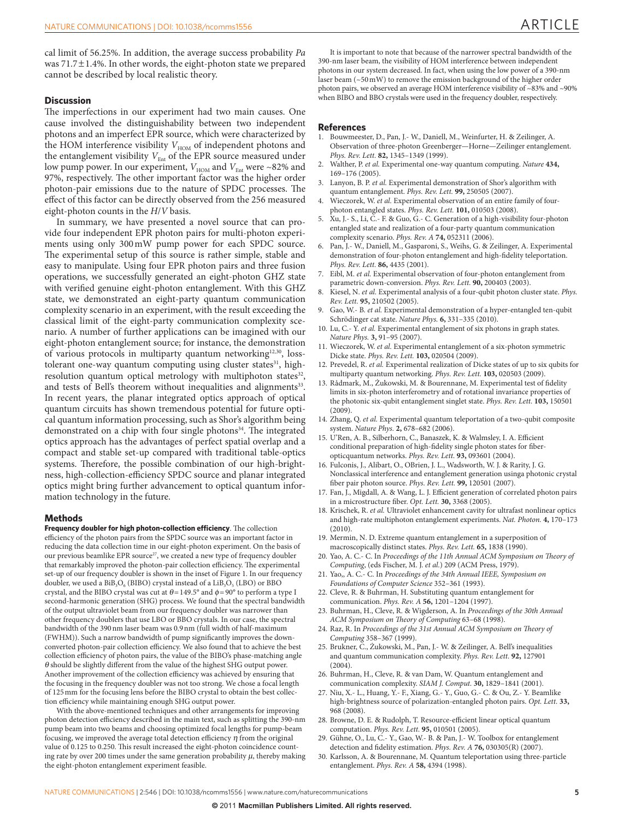cal limit of 56.25%. In addition, the average success probability *Pa* was 71.7±1.4%. In other words, the eight-photon state we prepared cannot be described by local realistic theory.

## **Discussion**

The imperfections in our experiment had two main causes. One cause involved the distinguishability between two independent photons and an imperfect EPR source, which were characterized by the HOM interference visibility  $V_{\text{HOM}}$  of independent photons and the entanglement visibility  $V_{\text{Ent}}$  of the EPR source measured under low pump power. In our experiment,  $V_{\rm HOM}$  and  $V_{\rm Ent}$  were ~82% and 97%, respectively. The other important factor was the higher order photon-pair emissions due to the nature of SPDC processes. The effect of this factor can be directly observed from the 256 measured eight-photon counts in the *H*/*V* basis.

In summary, we have presented a novel source that can provide four independent EPR photon pairs for multi-photon experiments using only 300mW pump power for each SPDC source. The experimental setup of this source is rather simple, stable and easy to manipulate. Using four EPR photon pairs and three fusion operations, we successfully generated an eight-photon GHZ state with verified genuine eight-photon entanglement. With this GHZ state, we demonstrated an eight-party quantum communication complexity scenario in an experiment, with the result exceeding the classical limit of the eight-party communication complexity scenario. A number of further applications can be imagined with our eight-photon entanglement source; for instance, the demonstration of various protocols in multiparty quantum networking<sup>12,30</sup>, losstolerant one-way quantum computing using cluster states<sup>31</sup>, highresolution quantum optical metrology with multiphoton states<sup>32</sup>, and tests of Bell's theorem without inequalities and alignments<sup>33</sup>. In recent years, the planar integrated optics approach of optical quantum circuits has shown tremendous potential for future optical quantum information processing, such as Shor's algorithm being demonstrated on a chip with four single photons<sup>34</sup>. The integrated optics approach has the advantages of perfect spatial overlap and a compact and stable set-up compared with traditional table-optics systems. Therefore, the possible combination of our high-brightness, high-collection-efficiency SPDC source and planar integrated optics might bring further advancement to optical quantum information technology in the future.

#### **Methods**

**Frequency doubler for high photon-collection efficiency**. The collection efficiency of the photon pairs from the SPDC source was an important factor in reducing the data collection time in our eight-photon experiment. On the basis of our previous beamlike EPR source<sup>[27](#page-4-14)</sup>, we created a new type of frequency doubler that remarkably improved the photon-pair collection efficiency. The experimental set-up of our frequency doubler is shown in the inset of [Figure 1.](#page-2-0) In our frequency doubler, we used a  $BiB_3O_6$  (BIBO) crystal instead of a  $LiB_3O_5$  (LBO) or BBO crystal, and the BIBO crystal was cut at  $\theta$  = 149.5° and  $\phi$  = 90° to perform a type I second-harmonic generation (SHG) process. We found that the spectral bandwidth of the output ultraviolet beam from our frequency doubler was narrower than other frequency doublers that use LBO or BBO crystals. In our case, the spectral bandwidth of the 390nm laser beam was 0.9nm (full width of half-maximum (FWHM)). Such a narrow bandwidth of pump significantly improves the downconverted photon-pair collection efficiency. We also found that to achieve the best collection efficiency of photon pairs, the value of the BIBO's phase-matching angle θ should be slightly different from the value of the highest SHG output power. Another improvement of the collection efficiency was achieved by ensuring that the focusing in the frequency doubler was not too strong. We chose a focal length of 125mm for the focusing lens before the BIBO crystal to obtain the best collection efficiency while maintaining enough SHG output power.

With the above-mentioned techniques and other arrangements for improving photon detection efficiency described in the main text, such as splitting the 390-nm pump beam into two beams and choosing optimized focal lengths for pump-beam focusing, we improved the average total detection efficiency  $\eta$  from the original value of 0.125 to 0.250. This result increased the eight-photon coincidence counting rate by over 200 times under the same generation probability  $\mu$ , thereby making the eight-photon entanglement experiment feasible.

It is important to note that because of the narrower spectral bandwidth of the 390-nm laser beam, the visibility of HOM interference between independent photons in our system decreased. In fact, when using the low power of a 390-nm laser beam (~50mW) to remove the emission background of the higher order photon pairs, we observed an average HOM interference visibility of ~83% and ~90% when BIBO and BBO crystals were used in the frequency doubler, respectively.

#### **References**

- <span id="page-4-0"></span>1. Bouwmeester, D., Pan, J.- W., Daniell, M., Weinfurter, H. & Zeilinger, A. Observation of three-photon Greenberger—Horne—Zeilinger entanglement. *Phys. Rev. Lett.* **82,** 1345–1349 (1999).
- 2. Walther, P. *et al.* Experimental one-way quantum computing. *Nature* **434,** 169–176 (2005).
- 3. Lanyon, B. P. *et al.* Experimental demonstration of Shor's algorithm with quantum entanglement. *Phys. Rev. Lett.* **99,** 250505 (2007).
- 4. Wieczorek, W. *et al.* Experimental observation of an entire family of fourphoton entangled states. *Phys. Rev. Lett.* **101,** 010503 (2008).
- 5. Xu, J.- S., Li, C.- F. & Guo, G.- C. Generation of a high-visibility four-photon entangled state and realization of a four-party quantum communication complexity scenario. *Phys. Rev. A* **74,** 052311 (2006).
- 6. Pan, J.- W., Daniell, M., Gasparoni, S., Weihs, G. & Zeilinger, A. Experimental demonstration of four-photon entanglement and high-fidelity teleportation. *Phys. Rev. Lett.* **86,** 4435 (2001).
- 7. Eibl, M. *et al.* Experimental observation of four-photon entanglement from parametric down-conversion. *Phys. Rev. Lett.* **90,** 200403 (2003).
- 8. Kiesel, N. *et al.* Experimental analysis of a four-qubit photon cluster state. *Phys. Rev. Lett.* **95,** 210502 (2005).
- <span id="page-4-1"></span>9. Gao, W.- B. *et al.* Experimental demonstration of a hyper-entangled ten-qubit Schrödinger cat state. *Nature Phys.* **6,** 331–335 (2010).
- <span id="page-4-2"></span>10. Lu, C.- Y. *et al.* Experimental entanglement of six photons in graph states. *Nature Phys.* **3,** 91–95 (2007).
- 11. Wieczorek, W. *et al.* Experimental entanglement of a six-photon symmetric Dicke state. *Phys. Rev. Lett.* **103,** 020504 (2009).
- <span id="page-4-17"></span>12. Prevedel, R. *et al.* Experimental realization of Dicke states of up to six qubits for multiparty quantum networking. *Phys. Rev. Lett.* **103,** 020503 (2009).
- 13. Rådmark, M., Żukowski, M. & Bourennane, M. Experimental test of fidelity limits in six-photon interferometry and of rotational invariance properties of the photonic six-qubit entanglement singlet state. *Phys. Rev. Lett.* **103,** 150501 (2009).
- <span id="page-4-3"></span>14. Zhang, Q. *et al.* Experimental quantum teleportation of a two-qubit composite system. *Nature Phys.* **2,** 678–682 (2006).
- <span id="page-4-4"></span>15. U'Ren, A. B., Silberhorn, C., Banaszek, K. & Walmsley, I. A. Efficient conditional preparation of high-fidelity single photon states for fiberopticquantum networks. *Phys. Rev. Lett.* **93,** 093601 (2004).
- <span id="page-4-5"></span>16. Fulconis, J., Alibart, O., OBrien, J. L., Wadsworth, W. J. & Rarity, J. G. Nonclassical interference and entanglement generation usinga photonic crystal fiber pair photon source. *Phys. Rev. Lett.* **99,** 120501 (2007).
- 17. Fan, J., Migdall, A. & Wang, L. J. Efficient generation of correlated photon pairs in a microstructure fiber. *Opt. Lett.* **30,** 3368 (2005).
- <span id="page-4-6"></span>18. Krischek, R. *et al.* Ultraviolet enhancement cavity for ultrafast nonlinear optics and high-rate multiphoton entanglement experiments. *Nat. Photon.* **4,** 170–173  $(2010)$
- <span id="page-4-7"></span>19. Mermin, N. D. Extreme quantum entanglement in a superposition of macroscopically distinct states. *Phys. Rev. Lett.* **65,** 1838 (1990).
- <span id="page-4-8"></span>20. Yao, A. C.- C. In *Proceedings of the 11th Annual ACM Symposium on Theory of Computing*, (eds Fischer, M. J. *et al.*) 209 (ACM Press, 1979).
- <span id="page-4-9"></span>21. Yao,, A. C.- C. In *Proceedings of the 34th Annual IEEE, Symposium on Foundations of Computer Science* 352–361 (1993).
- <span id="page-4-10"></span>22. Cleve, R. & Buhrman, H. Substituting quantum entanglement for communication. *Phys. Rev. A* **56,** 1201–1204 (1997).
- <span id="page-4-11"></span>23. Buhrman, H., Cleve, R. & Wigderson, A. In *Proceedings of the 30th Annual ACM Symposium on Theory of Computing* 63–68 (1998).
- 24. Raz, R. In *Proceedings of the 31st Annual ACM Symposium on Theory of Computing* 358–367 (1999).
- <span id="page-4-12"></span>25. Brukner, C., Żukowski, M., Pan, J.- W. & Zeilinger, A. Bell's inequalities and quantum communication complexity. *Phys. Rev. Lett.* **92,** 127901  $(2004)$
- <span id="page-4-13"></span>26. Buhrman, H., Cleve, R. & van Dam, W. Quantum entanglement and communication complexity. *SIAM J. Comput.* **30,** 1829–1841 (2001).
- <span id="page-4-14"></span>27. Niu, X.- L., Huang, Y.- F., Xiang, G.- Y., Guo, G.- C. & Ou, Z.- Y. Beamlike high-brightness source of polarization-entangled photon pairs. *Opt. Lett.* **33,** 968 (2008).
- <span id="page-4-15"></span>28. Browne, D. E. & Rudolph, T. Resource-efficient linear optical quantum computation. *Phys. Rev. Lett.* **95,** 010501 (2005).
- <span id="page-4-16"></span>29. Gühne, O., Lu, C.- Y., Gao, W.- B. & Pan, J.- W. Toolbox for entanglement detection and fidelity estimation. *Phys. Rev. A* **76,** 030305(R) (2007).
- 30. Karlsson, A. & Bourennane, M. Quantum teleportation using three-particle entanglement. *Phys. Rev. A* **58,** 4394 (1998).